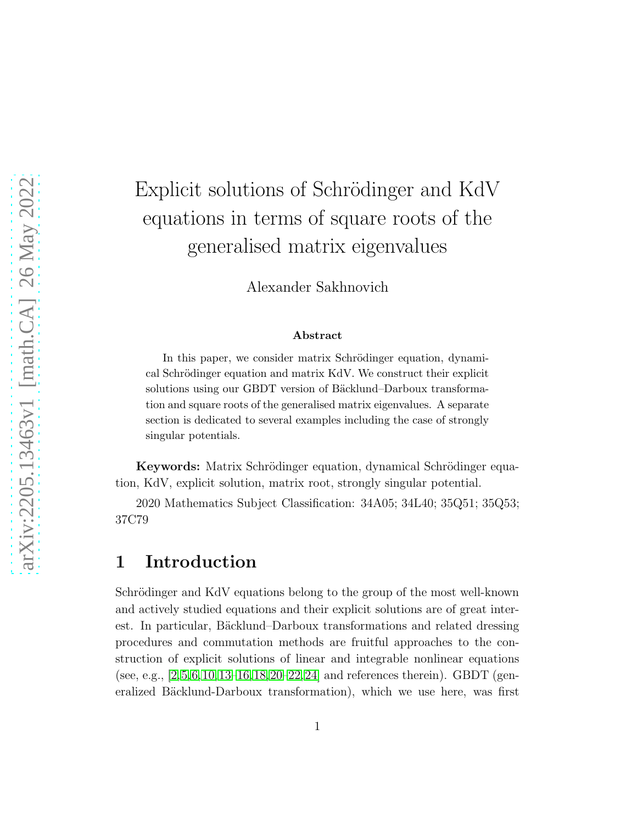# Explicit solutions of Schrödinger and KdV equations in terms of square roots of the generalised matrix eigenvalues

Alexander Sakhnovich

#### Abstract

In this paper, we consider matrix Schrödinger equation, dynamical Schrödinger equation and matrix KdV. We construct their explicit solutions using our GBDT version of Bäcklund–Darboux transformation and square roots of the generalised matrix eigenvalues. A separate section is dedicated to several examples including the case of strongly singular potentials.

Keywords: Matrix Schrödinger equation, dynamical Schrödinger equation, KdV, explicit solution, matrix root, strongly singular potential.

2020 Mathematics Subject Classification: 34A05; 34L40; 35Q51; 35Q53; 37C79

## 1 Introduction

Schrödinger and KdV equations belong to the group of the most well-known and actively studied equations and their explicit solutions are of great interest. In particular, Bäcklund–Darboux transformations and related dressing procedures and commutation methods are fruitful approaches to the construction of explicit solutions of linear and integrable nonlinear equations (see, e.g.,  $[2,5,6,10,13-16,18,20-22,24]$  $[2,5,6,10,13-16,18,20-22,24]$  $[2,5,6,10,13-16,18,20-22,24]$  $[2,5,6,10,13-16,18,20-22,24]$  $[2,5,6,10,13-16,18,20-22,24]$  $[2,5,6,10,13-16,18,20-22,24]$  $[2,5,6,10,13-16,18,20-22,24]$  $[2,5,6,10,13-16,18,20-22,24]$  $[2,5,6,10,13-16,18,20-22,24]$  $[2,5,6,10,13-16,18,20-22,24]$  and references therein). GBDT (generalized Bäcklund-Darboux transformation), which we use here, was first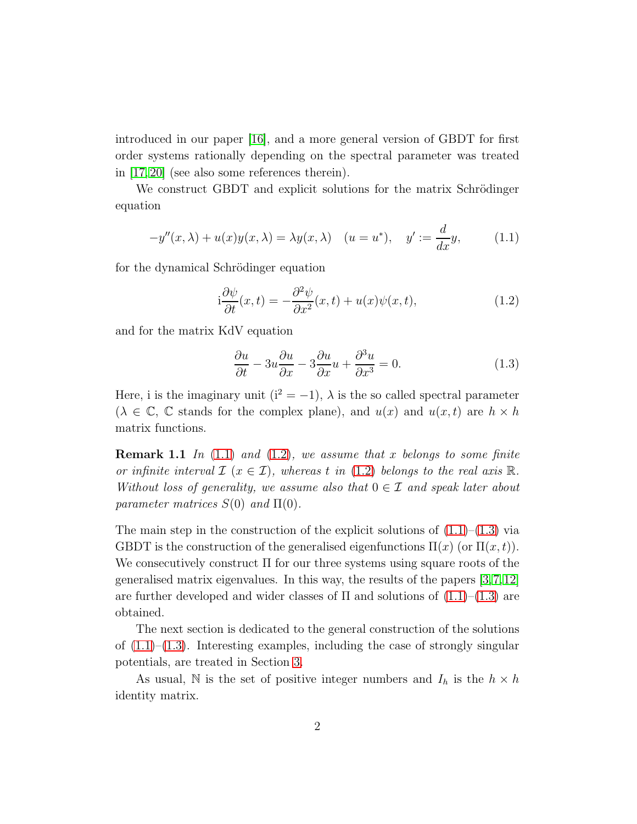introduced in our paper [\[16\]](#page-12-3), and a more general version of GBDT for first order systems rationally depending on the spectral parameter was treated in [\[17,](#page-13-4) [20\]](#page-13-1) (see also some references therein).

We construct GBDT and explicit solutions for the matrix Schrödinger equation

$$
-y''(x,\lambda) + u(x)y(x,\lambda) = \lambda y(x,\lambda) \quad (u = u^*), \quad y' := \frac{d}{dx}y,\tag{1.1}
$$

for the dynamical Schrödinger equation

<span id="page-1-0"></span>
$$
i\frac{\partial\psi}{\partial t}(x,t) = -\frac{\partial^2\psi}{\partial x^2}(x,t) + u(x)\psi(x,t),\tag{1.2}
$$

and for the matrix KdV equation

<span id="page-1-2"></span><span id="page-1-1"></span>
$$
\frac{\partial u}{\partial t} - 3u \frac{\partial u}{\partial x} - 3 \frac{\partial u}{\partial x} u + \frac{\partial^3 u}{\partial x^3} = 0.
$$
 (1.3)

Here, i is the imaginary unit ( $i^2 = -1$ ),  $\lambda$  is the so called spectral parameter  $(\lambda \in \mathbb{C}, \mathbb{C})$  stands for the complex plane), and  $u(x)$  and  $u(x,t)$  are  $h \times h$ matrix functions.

Remark 1.1 *In* [\(1.1\)](#page-1-0) *and* [\(1.2\)](#page-1-1)*, we assume that* x *belongs to some finite or infinite interval*  $\mathcal{I}$  ( $x \in \mathcal{I}$ ), whereas t in [\(1.2\)](#page-1-1) *belongs to the real axis* R. *Without loss of generality, we assume also that* 0 ∈ I *and speak later about parameter matrices*  $S(0)$  *and*  $\Pi(0)$ *.* 

The main step in the construction of the explicit solutions of  $(1.1)$ – $(1.3)$  via GBDT is the construction of the generalised eigenfunctions  $\Pi(x)$  (or  $\Pi(x,t)$ ). We consecutively construct  $\Pi$  for our three systems using square roots of the generalised matrix eigenvalues. In this way, the results of the papers [\[3,](#page-11-2)[7,](#page-12-4)[12\]](#page-12-5) are further developed and wider classes of  $\Pi$  and solutions of  $(1.1)$ – $(1.3)$  are obtained.

The next section is dedicated to the general construction of the solutions of  $(1.1)$ – $(1.3)$ . Interesting examples, including the case of strongly singular potentials, are treated in Section [3.](#page-7-0)

As usual, N is the set of positive integer numbers and  $I_h$  is the  $h \times h$ identity matrix.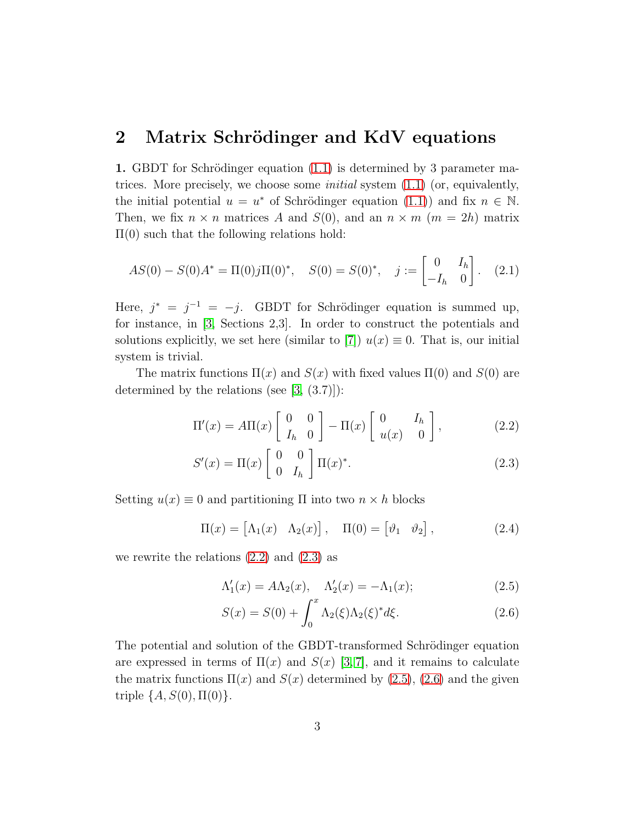#### 2 Matrix Schrödinger and KdV equations

1. GBDT for Schrödinger equation [\(1.1\)](#page-1-0) is determined by 3 parameter matrices. More precisely, we choose some *initial* system [\(1.1\)](#page-1-0) (or, equivalently, the initial potential  $u = u^*$  of Schrödinger equation [\(1.1\)](#page-1-0)) and fix  $n \in \mathbb{N}$ . Then, we fix  $n \times n$  matrices A and  $S(0)$ , and an  $n \times m$  ( $m = 2h$ ) matrix  $\Pi(0)$  such that the following relations hold:

<span id="page-2-5"></span>
$$
AS(0) - S(0)A^* = \Pi(0)j\Pi(0)^*, \quad S(0) = S(0)^*, \quad j := \begin{bmatrix} 0 & I_h \\ -I_h & 0 \end{bmatrix}.
$$
 (2.1)

Here,  $j^* = j^{-1} = -j$ . GBDT for Schrödinger equation is summed up, for instance, in [\[3,](#page-11-2) Sections 2,3]. In order to construct the potentials and solutions explicitly, we set here (similar to [\[7\]](#page-12-4))  $u(x) \equiv 0$ . That is, our initial system is trivial.

The matrix functions  $\Pi(x)$  and  $S(x)$  with fixed values  $\Pi(0)$  and  $S(0)$  are determined by the relations (see  $[3, (3.7)]$ ):

$$
\Pi'(x) = A\Pi(x) \begin{bmatrix} 0 & 0 \ I_h & 0 \end{bmatrix} - \Pi(x) \begin{bmatrix} 0 & I_h \ u(x) & 0 \end{bmatrix},
$$
 (2.2)

<span id="page-2-1"></span><span id="page-2-0"></span>
$$
S'(x) = \Pi(x) \begin{bmatrix} 0 & 0 \\ 0 & I_h \end{bmatrix} \Pi(x)^*.
$$
 (2.3)

Setting  $u(x) \equiv 0$  and partitioning  $\Pi$  into two  $n \times h$  blocks

$$
\Pi(x) = \begin{bmatrix} \Lambda_1(x) & \Lambda_2(x) \end{bmatrix}, \quad \Pi(0) = \begin{bmatrix} \vartheta_1 & \vartheta_2 \end{bmatrix}, \tag{2.4}
$$

we rewrite the relations  $(2.2)$  and  $(2.3)$  as

$$
\Lambda_1'(x) = A\Lambda_2(x), \quad \Lambda_2'(x) = -\Lambda_1(x); \tag{2.5}
$$

<span id="page-2-4"></span><span id="page-2-3"></span><span id="page-2-2"></span>
$$
S(x) = S(0) + \int_0^x \Lambda_2(\xi) \Lambda_2(\xi)^* d\xi.
$$
 (2.6)

The potential and solution of the GBDT-transformed Schrödinger equation are expressed in terms of  $\Pi(x)$  and  $S(x)$  [\[3,](#page-11-2) [7\]](#page-12-4), and it remains to calculate the matrix functions  $\Pi(x)$  and  $S(x)$  determined by  $(2.5)$ ,  $(2.6)$  and the given triple  $\{A, S(0), \Pi(0)\}.$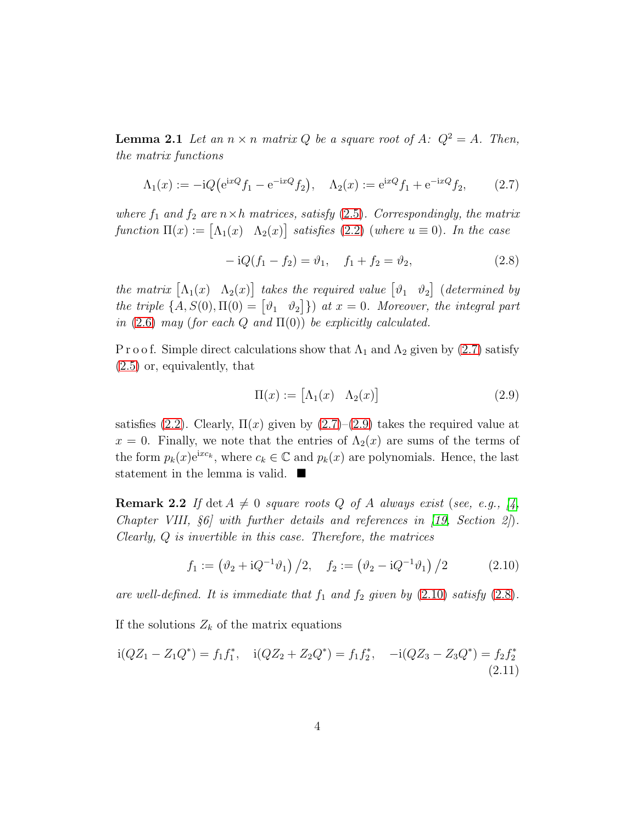**Lemma 2.1** Let an  $n \times n$  *matrix* Q *be a square root of* A:  $Q^2 = A$ *. Then, the matrix functions*

$$
\Lambda_1(x) := -iQ(e^{ixQ}f_1 - e^{-ixQ}f_2), \quad \Lambda_2(x) := e^{ixQ}f_1 + e^{-ixQ}f_2,\tag{2.7}
$$

*where*  $f_1$  *and*  $f_2$  *are*  $n \times h$  *matrices, satisfy* [\(2.5\)](#page-2-2)*. Correspondingly, the matrix*  $function \Pi(x) := [\Lambda_1(x) \quad \Lambda_2(x)]$  satisfies [\(2.2\)](#page-2-0) (where  $u \equiv 0$ )*. In the case* 

<span id="page-3-3"></span><span id="page-3-0"></span>
$$
-iQ(f_1 - f_2) = \vartheta_1, \quad f_1 + f_2 = \vartheta_2,
$$
\n(2.8)

*the matrix*  $[\Lambda_1(x) \quad \Lambda_2(x)]$  *takes the required value*  $[\vartheta_1 \quad \vartheta_2]$  (*determined by the triple*  $\{A, S(0), \Pi(0) = \begin{bmatrix} \vartheta_1 & \vartheta_2 \end{bmatrix} \}$  *at*  $x = 0$ *. Moreover, the integral part in* [\(2.6\)](#page-2-3) *may* (*for each* Q *and*  $\Pi(0)$ ) *be explicitly calculated.* 

P r o o f. Simple direct calculations show that  $\Lambda_1$  and  $\Lambda_2$  given by [\(2.7\)](#page-3-0) satisfy [\(2.5\)](#page-2-2) or, equivalently, that

<span id="page-3-2"></span><span id="page-3-1"></span>
$$
\Pi(x) := \begin{bmatrix} \Lambda_1(x) & \Lambda_2(x) \end{bmatrix} \tag{2.9}
$$

satisfies [\(2.2\)](#page-2-0). Clearly,  $\Pi(x)$  given by [\(2.7\)](#page-3-0)–[\(2.9\)](#page-3-1) takes the required value at  $x = 0$ . Finally, we note that the entries of  $\Lambda_2(x)$  are sums of the terms of the form  $p_k(x)e^{ixc_k}$ , where  $c_k \in \mathbb{C}$  and  $p_k(x)$  are polynomials. Hence, the last statement in the lemma is valid.  $\blacksquare$ 

<span id="page-3-4"></span>**Remark 2.2** If det  $A \neq 0$  *square roots* Q *of* A *always exist* (*see, e.g.,* [\[4,](#page-11-3)] *Chapter VIII,* §*6] with further details and references in [\[19,](#page-13-5) Section 2]*)*. Clearly,* Q *is invertible in this case. Therefore, the matrices*

$$
f_1 := (\vartheta_2 + iQ^{-1}\vartheta_1) / 2, \quad f_2 := (\vartheta_2 - iQ^{-1}\vartheta_1) / 2 \tag{2.10}
$$

are well-defined. It is immediate that  $f_1$  and  $f_2$  given by  $(2.10)$  satisfy  $(2.8)$ .

If the solutions  $Z_k$  of the matrix equations

$$
i(QZ_1 - Z_1Q^*) = f_1f_1^*, \quad i(QZ_2 + Z_2Q^*) = f_1f_2^*, \quad -i(QZ_3 - Z_3Q^*) = f_2f_2^*
$$
\n
$$
(2.11)
$$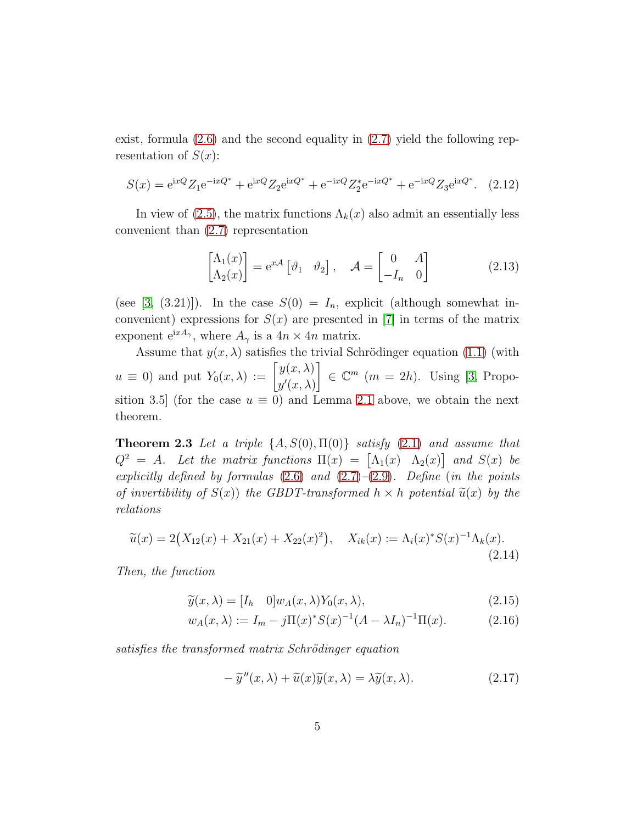exist, formula [\(2.6\)](#page-2-3) and the second equality in [\(2.7\)](#page-3-0) yield the following representation of  $S(x)$ :

$$
S(x) = e^{ixQ} Z_1 e^{-ixQ^*} + e^{ixQ} Z_2 e^{ixQ^*} + e^{-ixQ} Z_2^* e^{-ixQ^*} + e^{-ixQ} Z_3 e^{ixQ^*}.
$$
 (2.12)

In view of [\(2.5\)](#page-2-2), the matrix functions  $\Lambda_k(x)$  also admit an essentially less convenient than [\(2.7\)](#page-3-0) representation

$$
\begin{bmatrix} \Lambda_1(x) \\ \Lambda_2(x) \end{bmatrix} = e^{x\mathcal{A}} \begin{bmatrix} \vartheta_1 & \vartheta_2 \end{bmatrix}, \quad \mathcal{A} = \begin{bmatrix} 0 & A \\ -I_n & 0 \end{bmatrix}
$$
 (2.13)

(see [\[3,](#page-11-2) (3.21)]). In the case  $S(0) = I_n$ , explicit (although somewhat inconvenient) expressions for  $S(x)$  are presented in [\[7\]](#page-12-4) in terms of the matrix exponent  $e^{ixA_{\gamma}}$ , where  $A_{\gamma}$  is a  $4n \times 4n$  matrix.

Assume that  $y(x, \lambda)$  satisfies the trivial Schrödinger equation [\(1.1\)](#page-1-0) (with  $u \equiv 0$ ) and put  $Y_0(x, \lambda) := \begin{bmatrix} y(x, \lambda) \\ y'(x, \lambda) \end{bmatrix}$  $y'(x,\lambda)$  $\Big\} \in \mathbb{C}^m$  (*m* = 2*h*). Using [\[3,](#page-11-2) Proposition 3.5] (for the case  $u \equiv 0$ ) and Lemma [2.1](#page-2-4) above, we obtain the next theorem.

<span id="page-4-2"></span>Theorem 2.3 *Let a triple* {A, S(0), Π(0)} *satisfy* [\(2.1\)](#page-2-5) *and assume that*  $Q^2 = A$ *. Let the matrix functions*  $\Pi(x) = [\Lambda_1(x) \Lambda_2(x)]$  and  $S(x)$  be *explicitly defined by formulas* [\(2.6\)](#page-2-3) *and* [\(2.7\)](#page-3-0)*–*[\(2.9\)](#page-3-1)*. Define* (*in the points of invertibility of*  $S(x)$ *) the GBDT-transformed*  $h \times h$  *potential*  $\tilde{u}(x)$  *by the relations*

<span id="page-4-0"></span>
$$
\widetilde{u}(x) = 2(X_{12}(x) + X_{21}(x) + X_{22}(x)^2), \quad X_{ik}(x) := \Lambda_i(x)^* S(x)^{-1} \Lambda_k(x).
$$
\n(2.14)

*Then, the function*

$$
\widetilde{y}(x,\lambda) = [I_h \quad 0]w_A(x,\lambda)Y_0(x,\lambda),\tag{2.15}
$$

$$
w_A(x,\lambda) := I_m - j\Pi(x)^* S(x)^{-1} (A - \lambda I_n)^{-1} \Pi(x).
$$
 (2.16)

*satisfies the transformed matrix Schrödinger equation* 

<span id="page-4-4"></span><span id="page-4-3"></span><span id="page-4-1"></span>
$$
-\tilde{y}''(x,\lambda) + \tilde{u}(x)\tilde{y}(x,\lambda) = \lambda \tilde{y}(x,\lambda).
$$
 (2.17)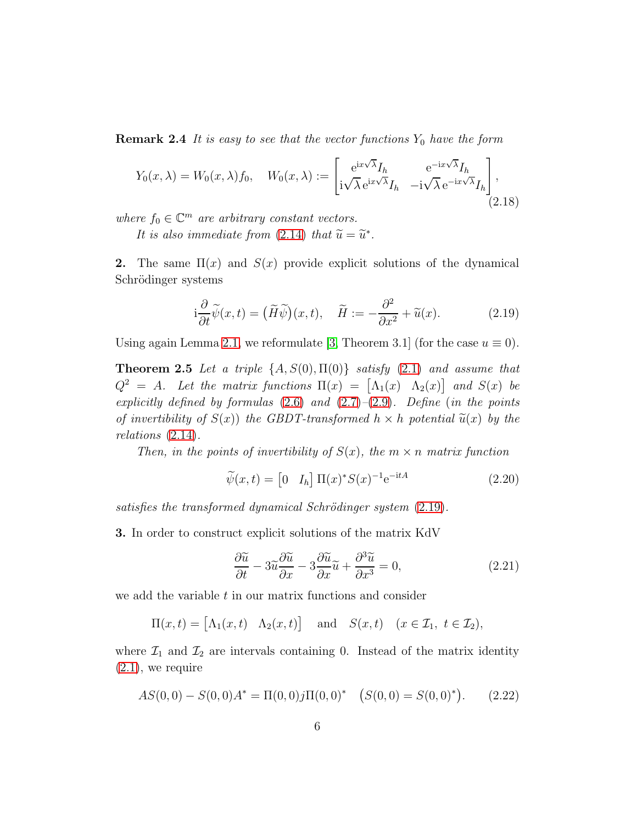**Remark 2.4** It is easy to see that the vector functions  $Y_0$  have the form

<span id="page-5-4"></span>
$$
Y_0(x,\lambda) = W_0(x,\lambda)f_0, \quad W_0(x,\lambda) := \begin{bmatrix} e^{ix\sqrt{\lambda}}I_h & e^{-ix\sqrt{\lambda}}I_h \\ i\sqrt{\lambda}e^{ix\sqrt{\lambda}}I_h & -i\sqrt{\lambda}e^{-ix\sqrt{\lambda}}I_h \end{bmatrix},
$$
\n(2.18)

*where*  $f_0 \in \mathbb{C}^m$  *are arbitrary constant vectors.* 

It is also immediate from  $(2.14)$  that  $\widetilde{u} = \widetilde{u}^*$ .

**2.** The same  $\Pi(x)$  and  $S(x)$  provide explicit solutions of the dynamical Schrödinger systems

<span id="page-5-0"></span>
$$
i\frac{\partial}{\partial t}\widetilde{\psi}(x,t) = (\widetilde{H}\widetilde{\psi})(x,t), \quad \widetilde{H} := -\frac{\partial^2}{\partial x^2} + \widetilde{u}(x). \tag{2.19}
$$

Using again Lemma [2.1,](#page-2-4) we reformulate [\[3,](#page-11-2) Theorem 3.1] (for the case  $u \equiv 0$ ).

Theorem 2.5 *Let a triple* {A, S(0), Π(0)} *satisfy* [\(2.1\)](#page-2-5) *and assume that*  $Q^2 = A$ *. Let the matrix functions*  $\Pi(x) = [\Lambda_1(x) \Lambda_2(x)]$  and  $S(x)$  be *explicitly defined by formulas* [\(2.6\)](#page-2-3) *and* [\(2.7\)](#page-3-0)*–*[\(2.9\)](#page-3-1)*. Define* (*in the points of invertibility of*  $S(x)$ *) the GBDT-transformed*  $h \times h$  *potential*  $\tilde{u}(x)$  *by the relations* [\(2.14\)](#page-4-0)*.*

*Then, in the points of invertibility of*  $S(x)$ *, the*  $m \times n$  *matrix function* 

<span id="page-5-3"></span>
$$
\widetilde{\psi}(x,t) = \begin{bmatrix} 0 & I_h \end{bmatrix} \Pi(x)^* S(x)^{-1} e^{-itA} \tag{2.20}
$$

*satisfies the transformed dynamical Schrödinger system*  $(2.19)$ *.* 

3. In order to construct explicit solutions of the matrix KdV

<span id="page-5-2"></span>
$$
\frac{\partial \widetilde{u}}{\partial t} - 3\widetilde{u}\frac{\partial \widetilde{u}}{\partial x} - 3\frac{\partial \widetilde{u}}{\partial x}\widetilde{u} + \frac{\partial^3 \widetilde{u}}{\partial x^3} = 0,\tag{2.21}
$$

we add the variable t in our matrix functions and consider

$$
\Pi(x,t) = \begin{bmatrix} \Lambda_1(x,t) & \Lambda_2(x,t) \end{bmatrix} \text{ and } S(x,t) \quad (x \in \mathcal{I}_1, t \in \mathcal{I}_2),
$$

where  $\mathcal{I}_1$  and  $\mathcal{I}_2$  are intervals containing 0. Instead of the matrix identity  $(2.1)$ , we require

<span id="page-5-1"></span>
$$
AS(0,0) - S(0,0)A^* = \Pi(0,0)j\Pi(0,0)^* \quad (S(0,0) = S(0,0)^*).
$$
 (2.22)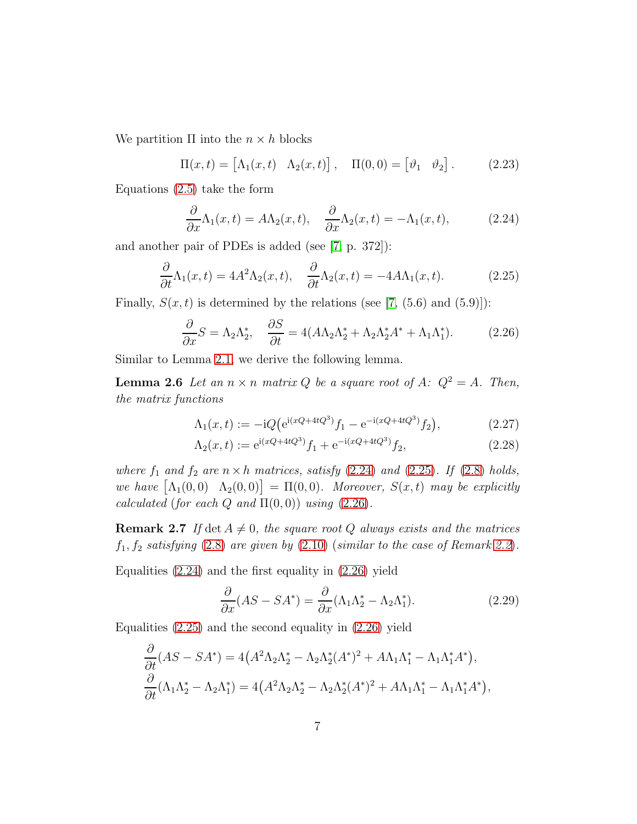We partition  $\Pi$  into the  $n \times h$  blocks

$$
\Pi(x,t) = \begin{bmatrix} \Lambda_1(x,t) & \Lambda_2(x,t) \end{bmatrix}, \quad \Pi(0,0) = \begin{bmatrix} \vartheta_1 & \vartheta_2 \end{bmatrix}.
$$
 (2.23)

Equations [\(2.5\)](#page-2-2) take the form

<span id="page-6-1"></span><span id="page-6-0"></span>
$$
\frac{\partial}{\partial x}\Lambda_1(x,t) = A\Lambda_2(x,t), \quad \frac{\partial}{\partial x}\Lambda_2(x,t) = -\Lambda_1(x,t), \quad (2.24)
$$

and another pair of PDEs is added (see [\[7,](#page-12-4) p. 372]):

$$
\frac{\partial}{\partial t}\Lambda_1(x,t) = 4A^2\Lambda_2(x,t), \quad \frac{\partial}{\partial t}\Lambda_2(x,t) = -4A\Lambda_1(x,t). \tag{2.25}
$$

Finally,  $S(x, t)$  is determined by the relations (see [\[7,](#page-12-4) (5.6) and (5.9)]):

<span id="page-6-2"></span>
$$
\frac{\partial}{\partial x}S = \Lambda_2 \Lambda_2^*, \quad \frac{\partial S}{\partial t} = 4(A\Lambda_2 \Lambda_2^* + \Lambda_2 \Lambda_2^* A^* + \Lambda_1 \Lambda_1^*). \tag{2.26}
$$

Similar to Lemma [2.1,](#page-2-4) we derive the following lemma.

**Lemma 2.6** Let an  $n \times n$  *matrix* Q *be a square root of* A:  $Q^2 = A$ *. Then, the matrix functions*

<span id="page-6-5"></span><span id="page-6-4"></span>
$$
\Lambda_1(x,t) := -iQ \left( e^{i(xQ + 4tQ^3)} f_1 - e^{-i(xQ + 4tQ^3)} f_2 \right),\tag{2.27}
$$

$$
\Lambda_2(x,t) := e^{i(xQ + 4tQ^3)} f_1 + e^{-i(xQ + 4tQ^3)} f_2,
$$
\n(2.28)

where  $f_1$  and  $f_2$  are  $n \times h$  *matrices, satisfy* [\(2.24\)](#page-6-0) and [\(2.25\)](#page-6-1)*. If* [\(2.8\)](#page-3-3) *holds,*  $we \; have \; [\Lambda_1(0,0) \; \Lambda_2(0,0)] = \Pi(0,0)$ *. Moreover,*  $S(x,t)$  *may be explicitly calculated* (*for each*  $Q$  *and*  $\Pi(0,0)$ ) *using* [\(2.26\)](#page-6-2)*.* 

**Remark 2.7** If det  $A \neq 0$ , the square root Q always exists and the matrices  $f_1, f_2$  *satisfying* [\(2.8\)](#page-3-3) *are given by* [\(2.10\)](#page-3-2) (*similar to the case of Remark [2.2](#page-3-4)*).

Equalities  $(2.24)$  and the first equality in  $(2.26)$  yield

<span id="page-6-3"></span>
$$
\frac{\partial}{\partial x}(AS - SA^*) = \frac{\partial}{\partial x}(\Lambda_1 \Lambda_2^* - \Lambda_2 \Lambda_1^*). \tag{2.29}
$$

Equalities  $(2.25)$  and the second equality in  $(2.26)$  yield

$$
\frac{\partial}{\partial t}(AS - SA^*) = 4(A^2\Lambda_2\Lambda_2^* - \Lambda_2\Lambda_2^*(A^*)^2 + A\Lambda_1\Lambda_1^* - \Lambda_1\Lambda_1^*A^*), \n\frac{\partial}{\partial t}(\Lambda_1\Lambda_2^* - \Lambda_2\Lambda_1^*) = 4(A^2\Lambda_2\Lambda_2^* - \Lambda_2\Lambda_2^*(A^*)^2 + A\Lambda_1\Lambda_1^* - \Lambda_1\Lambda_1^*A^*),
$$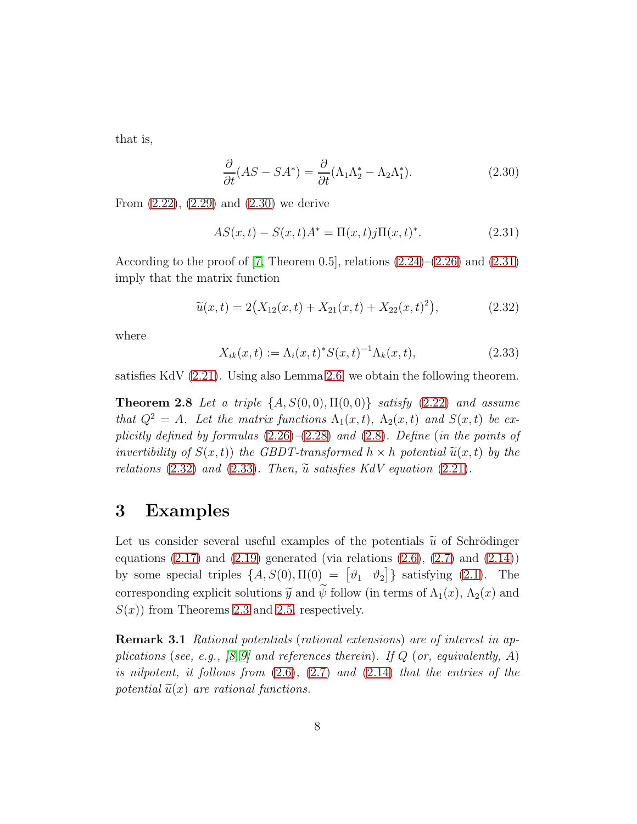that is,

<span id="page-7-1"></span>
$$
\frac{\partial}{\partial t}(AS - SA^*) = \frac{\partial}{\partial t}(\Lambda_1 \Lambda_2^* - \Lambda_2 \Lambda_1^*). \tag{2.30}
$$

From [\(2.22\)](#page-5-1), [\(2.29\)](#page-6-3) and [\(2.30\)](#page-7-1) we derive

<span id="page-7-2"></span>
$$
AS(x,t) - S(x,t)A^* = \Pi(x,t)j\Pi(x,t)^*.
$$
 (2.31)

According to the proof of [\[7,](#page-12-4) Theorem 0.5], relations  $(2.24)$ – $(2.26)$  and  $(2.31)$ imply that the matrix function

<span id="page-7-3"></span>
$$
\widetilde{u}(x,t) = 2(X_{12}(x,t) + X_{21}(x,t) + X_{22}(x,t)^2), \tag{2.32}
$$

where

<span id="page-7-4"></span>
$$
X_{ik}(x,t) := \Lambda_i(x,t)^* S(x,t)^{-1} \Lambda_k(x,t), \tag{2.33}
$$

satisfies KdV [\(2.21\)](#page-5-2). Using also Lemma [2.6,](#page-6-4) we obtain the following theorem.

Theorem 2.8 *Let a triple* {A, S(0, 0), Π(0, 0)} *satisfy* [\(2.22\)](#page-5-1) *and assume that*  $Q^2 = A$ *. Let the matrix functions*  $\Lambda_1(x,t)$ *,*  $\Lambda_2(x,t)$  *and*  $S(x,t)$  *be explicitly defined by formulas* [\(2.26\)](#page-6-2)*–*[\(2.28\)](#page-6-5) *and* [\(2.8\)](#page-3-3)*. Define* (*in the points of invertibility of*  $S(x,t)$  *the GBDT-transformed*  $h \times h$  *potential*  $\widetilde{u}(x,t)$  *by the relations* [\(2.32\)](#page-7-3) *and* [\(2.33\)](#page-7-4)*. Then,*  $\tilde{u}$  *satisfies KdV equation* [\(2.21\)](#page-5-2)*.* 

### <span id="page-7-0"></span>3 Examples

Let us consider several useful examples of the potentials  $\tilde{u}$  of Schrödinger equations  $(2.17)$  and  $(2.19)$  generated (via relations  $(2.6)$ ,  $(2.7)$  and  $(2.14)$ ) by some special triples  $\{A, S(0), \Pi(0) = [\vartheta_1 \quad \vartheta_2]\}$  satisfying [\(2.1\)](#page-2-5). The corresponding explicit solutions  $\tilde{y}$  and  $\tilde{\psi}$  follow (in terms of  $\Lambda_1(x)$ ,  $\Lambda_2(x)$  and  $S(x)$  from Theorems [2.3](#page-4-2) and [2.5,](#page-5-3) respectively.

Remark 3.1 *Rational potentials* (*rational extensions*) *are of interest in applications* (*see, e.g., [\[8,](#page-12-6) [9\]](#page-12-7) and references therein*)*. If* Q (*or, equivalently,* A) *is nilpotent, it follows from* [\(2.6\)](#page-2-3)*,* [\(2.7\)](#page-3-0) *and* [\(2.14\)](#page-4-0) *that the entries of the potential*  $\tilde{u}(x)$  *are rational functions.*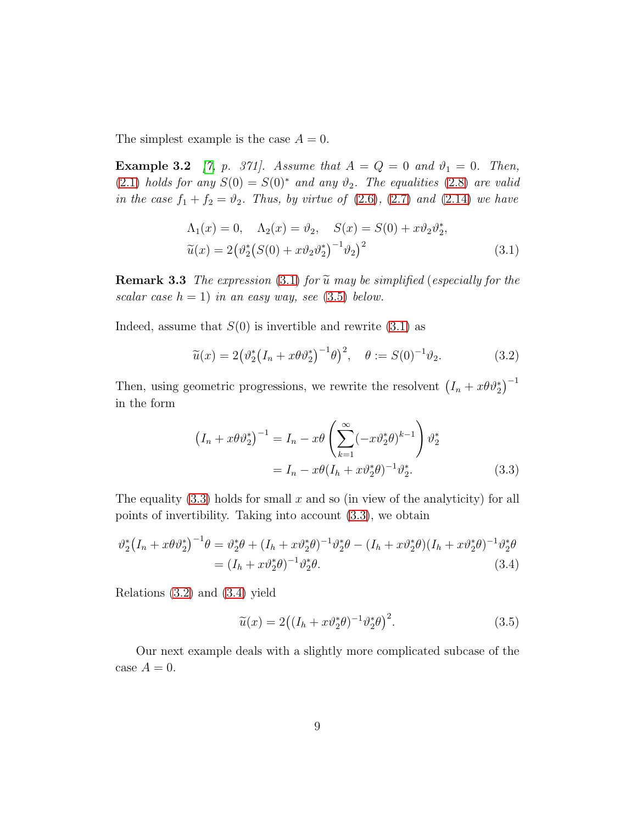The simplest example is the case  $A = 0$ .

**Example 3.2** [\[7,](#page-12-4) p. 371]. Assume that  $A = Q = 0$  and  $\vartheta_1 = 0$ . Then, [\(2.1\)](#page-2-5) *holds for any*  $S(0) = S(0)^*$  *and any*  $\vartheta_2$ *. The equalities* [\(2.8\)](#page-3-3) *are valid in the case*  $f_1 + f_2 = \vartheta_2$ *. Thus, by virtue of* [\(2.6\)](#page-2-3), [\(2.7\)](#page-3-0) *and* [\(2.14\)](#page-4-0) *we have* 

<span id="page-8-0"></span>
$$
\Lambda_1(x) = 0, \quad \Lambda_2(x) = \vartheta_2, \quad S(x) = S(0) + x\vartheta_2\vartheta_2^*, \n\widetilde{u}(x) = 2(\vartheta_2^*(S(0) + x\vartheta_2\vartheta_2^*)^{-1}\vartheta_2)^2
$$
\n(3.1)

**Remark 3.3** *The expression* [\(3.1\)](#page-8-0) *for*  $\tilde{u}$  *may be simplified* (*especially for the scalar case*  $h = 1$ ) *in an easy way, see* [\(3.5\)](#page-8-1) *below.* 

Indeed, assume that  $S(0)$  is invertible and rewrite  $(3.1)$  as

<span id="page-8-3"></span>
$$
\widetilde{u}(x) = 2(\vartheta_2^* (I_n + x\theta \vartheta_2^*)^{-1} \theta)^2, \quad \theta := S(0)^{-1} \vartheta_2.
$$
\n(3.2)

Then, using geometric progressions, we rewrite the resolvent  $(I_n + x\theta \vartheta_2^*)^{-1}$ in the form

$$
\left(I_n + x\theta \vartheta_2^*\right)^{-1} = I_n - x\theta \left(\sum_{k=1}^{\infty} (-x\vartheta_2^*\theta)^{k-1}\right) \vartheta_2^*
$$

$$
= I_n - x\theta (I_n + x\vartheta_2^*\theta)^{-1} \vartheta_2^*.
$$
(3.3)

The equality  $(3.3)$  holds for small x and so (in view of the analyticity) for all points of invertibility. Taking into account [\(3.3\)](#page-8-2), we obtain

$$
\vartheta_2^* (I_n + x\theta \vartheta_2^*)^{-1} \theta = \vartheta_2^* \theta + (I_h + x\vartheta_2^* \theta)^{-1} \vartheta_2^* \theta - (I_h + x\vartheta_2^* \theta) (I_h + x\vartheta_2^* \theta)^{-1} \vartheta_2^* \theta
$$
  
= 
$$
(I_h + x\vartheta_2^* \theta)^{-1} \vartheta_2^* \theta.
$$
 (3.4)

Relations [\(3.2\)](#page-8-3) and [\(3.4\)](#page-8-4) yield

<span id="page-8-4"></span><span id="page-8-2"></span><span id="page-8-1"></span>
$$
\widetilde{u}(x) = 2\left( (I_h + x\vartheta_2^*\theta)^{-1}\vartheta_2^*\theta \right)^2. \tag{3.5}
$$

<span id="page-8-5"></span>Our next example deals with a slightly more complicated subcase of the case  $A = 0$ .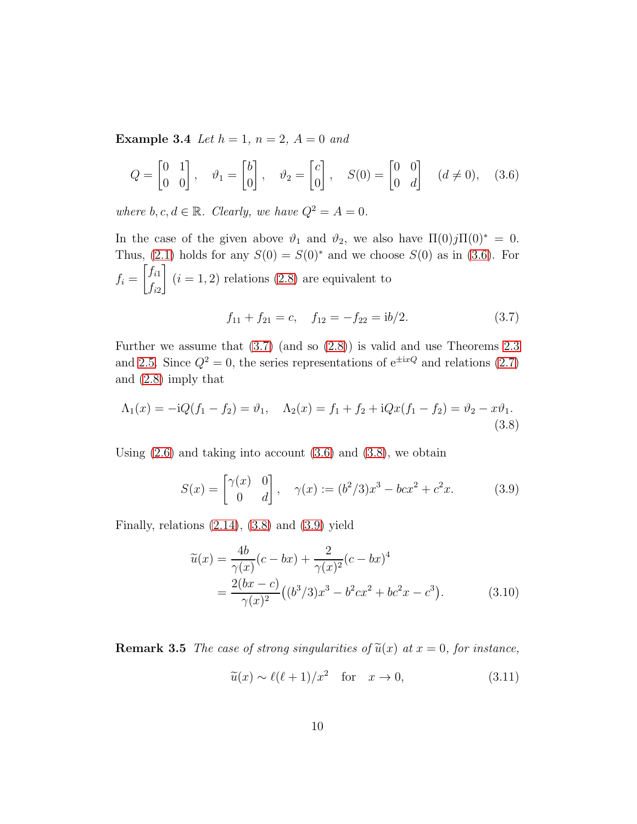**Example 3.4** *Let*  $h = 1$ *,*  $n = 2$ *,*  $A = 0$  *and* 

$$
Q = \begin{bmatrix} 0 & 1 \\ 0 & 0 \end{bmatrix}, \quad \vartheta_1 = \begin{bmatrix} b \\ 0 \end{bmatrix}, \quad \vartheta_2 = \begin{bmatrix} c \\ 0 \end{bmatrix}, \quad S(0) = \begin{bmatrix} 0 & 0 \\ 0 & d \end{bmatrix} \quad (d \neq 0), \quad (3.6)
$$

*where*  $b, c, d \in \mathbb{R}$ *. Clearly, we have*  $Q^2 = A = 0$ *.* 

In the case of the given above  $\vartheta_1$  and  $\vartheta_2$ , we also have  $\Pi(0)j\Pi(0)^* = 0$ . Thus, [\(2.1\)](#page-2-5) holds for any  $S(0) = S(0)^*$  and we choose  $S(0)$  as in [\(3.6\)](#page-9-0). For  $f_i =$  $\int f_{i1}$  $f_{i2}$ 1  $(i = 1, 2)$  relations  $(2.8)$  are equivalent to

<span id="page-9-2"></span><span id="page-9-1"></span><span id="page-9-0"></span>
$$
f_{11} + f_{21} = c, \quad f_{12} = -f_{22} = \frac{ib}{2}.
$$
 (3.7)

Further we assume that [\(3.7\)](#page-9-1) (and so [\(2.8\)](#page-3-3)) is valid and use Theorems [2.3](#page-4-2) and [2.5.](#page-5-3) Since  $Q^2 = 0$ , the series representations of  $e^{\pm ixQ}$  and relations [\(2.7\)](#page-3-0) and [\(2.8\)](#page-3-3) imply that

$$
\Lambda_1(x) = -iQ(f_1 - f_2) = \vartheta_1, \quad \Lambda_2(x) = f_1 + f_2 + iQx(f_1 - f_2) = \vartheta_2 - x\vartheta_1.
$$
\n(3.8)

Using  $(2.6)$  and taking into account  $(3.6)$  and  $(3.8)$ , we obtain

$$
S(x) = \begin{bmatrix} \gamma(x) & 0 \\ 0 & d \end{bmatrix}, \quad \gamma(x) := (b^2/3)x^3 - bcx^2 + c^2x. \tag{3.9}
$$

Finally, relations  $(2.14)$ ,  $(3.8)$  and  $(3.9)$  yield

<span id="page-9-3"></span>
$$
\widetilde{u}(x) = \frac{4b}{\gamma(x)}(c - bx) + \frac{2}{\gamma(x)^2}(c - bx)^4
$$
  
= 
$$
\frac{2(bx - c)}{\gamma(x)^2}((b^3/3)x^3 - b^2cx^2 + bc^2x - c^3).
$$
 (3.10)

**Remark 3.5** *The case of strong singularities of*  $\tilde{u}(x)$  *at*  $x = 0$ *, for instance,* 

<span id="page-9-4"></span>
$$
\tilde{u}(x) \sim \ell(\ell+1)/x^2 \quad \text{for} \quad x \to 0,
$$
\n(3.11)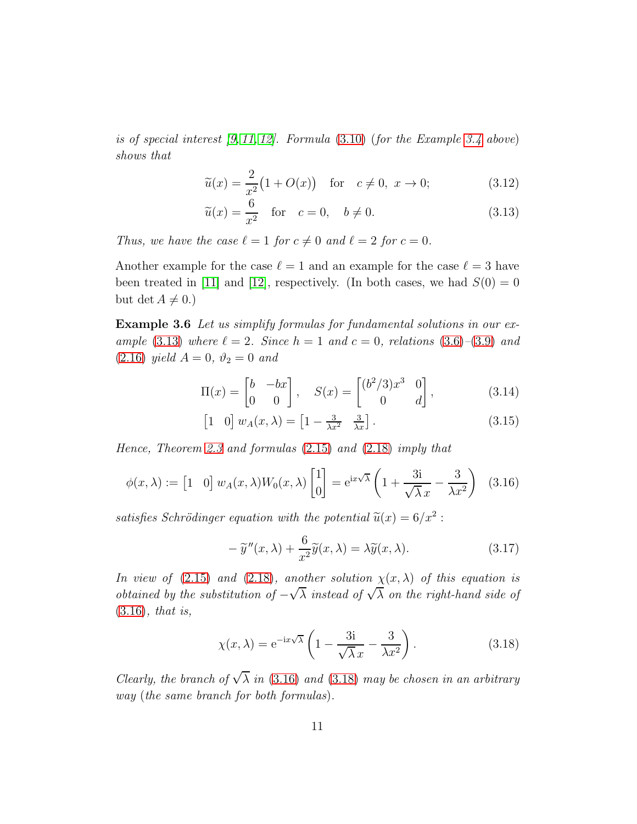*is of special interest [\[9,](#page-12-7) [11,](#page-12-8) [12\]](#page-12-5). Formula* [\(3.10\)](#page-9-4) (*for the Example [3.4](#page-8-5) above*) *shows that*

$$
\widetilde{u}(x) = \frac{2}{x^2} \big( 1 + O(x) \big) \quad \text{for} \quad c \neq 0, \ x \to 0; \tag{3.12}
$$

<span id="page-10-0"></span>
$$
\widetilde{u}(x) = \frac{6}{x^2} \quad \text{for} \quad c = 0, \quad b \neq 0. \tag{3.13}
$$

*Thus, we have the case*  $\ell = 1$  *for*  $c \neq 0$  *and*  $\ell = 2$  *for*  $c = 0$ *.* 

Another example for the case  $\ell = 1$  and an example for the case  $\ell = 3$  have been treated in [\[11\]](#page-12-8) and [\[12\]](#page-12-5), respectively. (In both cases, we had  $S(0) = 0$ but det  $A \neq 0.$ )

Example 3.6 *Let us simplify formulas for fundamental solutions in our example* [\(3.13\)](#page-10-0) *where*  $\ell = 2$ *. Since*  $h = 1$  *and*  $c = 0$ *, relations* [\(3.6\)](#page-9-0)–[\(3.9\)](#page-9-3) *and*  $(2.16)$  *yield*  $A = 0$ ,  $\vartheta_2 = 0$  *and* 

$$
\Pi(x) = \begin{bmatrix} b & -bx \\ 0 & 0 \end{bmatrix}, \quad S(x) = \begin{bmatrix} (b^2/3)x^3 & 0 \\ 0 & d \end{bmatrix}, \tag{3.14}
$$

$$
\begin{bmatrix} 1 & 0 \end{bmatrix} w_A(x,\lambda) = \begin{bmatrix} 1 - \frac{3}{\lambda x^2} & \frac{3}{\lambda x} \end{bmatrix}.
$$
 (3.15)

*Hence, Theorem [2.3](#page-4-2) and formulas* [\(2.15\)](#page-4-4) *and* [\(2.18\)](#page-5-4) *imply that*

$$
\phi(x,\lambda) := \begin{bmatrix} 1 & 0 \end{bmatrix} w_A(x,\lambda) W_0(x,\lambda) \begin{bmatrix} 1 \\ 0 \end{bmatrix} = e^{ix\sqrt{\lambda}} \left( 1 + \frac{3i}{\sqrt{\lambda}x} - \frac{3}{\lambda x^2} \right) (3.16)
$$

satisfies Schrödinger equation with the potential  $\tilde{u}(x) = 6/x^2$ :

<span id="page-10-3"></span><span id="page-10-1"></span>
$$
-\tilde{y}''(x,\lambda) + \frac{6}{x^2}\tilde{y}(x,\lambda) = \lambda \tilde{y}(x,\lambda).
$$
 (3.17)

*In view of* [\(2.15\)](#page-4-4) *and* [\(2.18\)](#page-5-4)*, another solution*  $\chi(x, \lambda)$  *of this equation is obtained by the substitution of*  $-\sqrt{\lambda}$  *instead of*  $\sqrt{\lambda}$  *on the right-hand side of* [\(3.16\)](#page-10-1)*, that is,*

<span id="page-10-2"></span>
$$
\chi(x,\lambda) = e^{-ix\sqrt{\lambda}} \left(1 - \frac{3i}{\sqrt{\lambda}x} - \frac{3}{\lambda x^2}\right).
$$
 (3.18)

*Clearly, the branch of*  $\sqrt{\lambda}$  *in* [\(3.16\)](#page-10-1) *and* [\(3.18\)](#page-10-2) *may be chosen in an arbitrary way* (*the same branch for both formulas*)*.*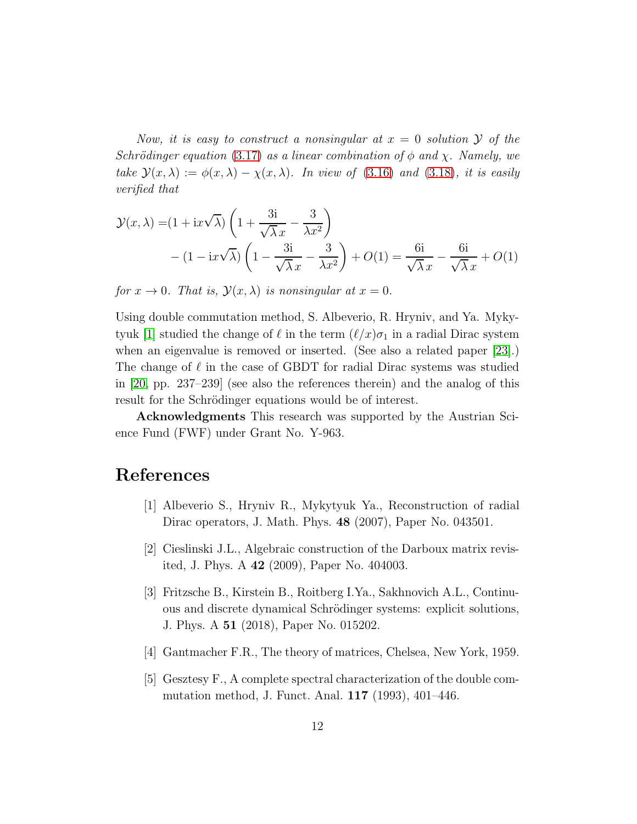*Now, it is easy to construct a nonsingular at*  $x = 0$  *solution*  $\mathcal{Y}$  *of the Schrödinger equation* [\(3.17\)](#page-10-3) *as a linear combination of*  $\phi$  *and*  $\chi$ *. Namely, we take*  $\mathcal{Y}(x, \lambda) := \phi(x, \lambda) - \chi(x, \lambda)$ *. In view of* [\(3.16\)](#page-10-1) *and* [\(3.18\)](#page-10-2)*, it is easily verified that*

$$
\mathcal{Y}(x,\lambda) = (1 + ix\sqrt{\lambda}) \left( 1 + \frac{3i}{\sqrt{\lambda} x} - \frac{3}{\lambda x^2} \right)
$$

$$
- (1 - ix\sqrt{\lambda}) \left( 1 - \frac{3i}{\sqrt{\lambda} x} - \frac{3}{\lambda x^2} \right) + O(1) = \frac{6i}{\sqrt{\lambda} x} - \frac{6i}{\sqrt{\lambda} x} + O(1)
$$

*for*  $x \to 0$ *. That is,*  $\mathcal{Y}(x, \lambda)$  *is nonsingular at*  $x = 0$ *.* 

Using double commutation method, S. Albeverio, R. Hryniv, and Ya. Myky-tyuk [\[1\]](#page-11-4) studied the change of  $\ell$  in the term  $(\ell/x)\sigma_1$  in a radial Dirac system when an eigenvalue is removed or inserted. (See also a related paper [\[23\]](#page-13-6).) The change of  $\ell$  in the case of GBDT for radial Dirac systems was studied in [\[20,](#page-13-1) pp. 237–239] (see also the references therein) and the analog of this result for the Schrödinger equations would be of interest.

Acknowledgments This research was supported by the Austrian Science Fund (FWF) under Grant No. Y-963.

### <span id="page-11-4"></span>References

- <span id="page-11-0"></span>[1] Albeverio S., Hryniv R., Mykytyuk Ya., Reconstruction of radial Dirac operators, J. Math. Phys. 48 (2007), Paper No. 043501.
- <span id="page-11-2"></span>[2] Cieslinski J.L., Algebraic construction of the Darboux matrix revisited, J. Phys. A 42 (2009), Paper No. 404003.
- [3] Fritzsche B., Kirstein B., Roitberg I.Ya., Sakhnovich A.L., Continuous and discrete dynamical Schrödinger systems: explicit solutions, J. Phys. A 51 (2018), Paper No. 015202.
- <span id="page-11-3"></span><span id="page-11-1"></span>[4] Gantmacher F.R., The theory of matrices, Chelsea, New York, 1959.
- [5] Gesztesy F., A complete spectral characterization of the double commutation method, J. Funct. Anal. 117 (1993), 401–446.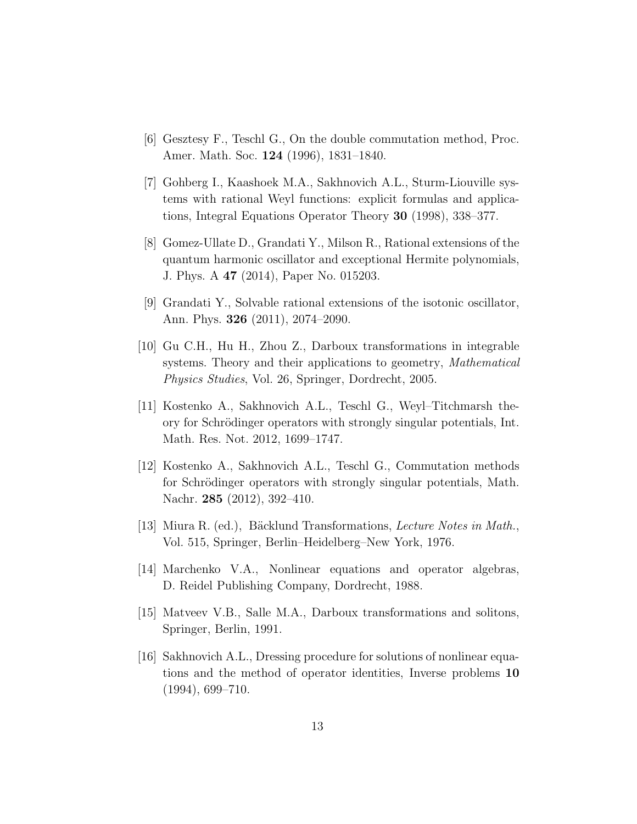- <span id="page-12-4"></span><span id="page-12-0"></span>[6] Gesztesy F., Teschl G., On the double commutation method, Proc. Amer. Math. Soc. 124 (1996), 1831–1840.
- [7] Gohberg I., Kaashoek M.A., Sakhnovich A.L., Sturm-Liouville systems with rational Weyl functions: explicit formulas and applications, Integral Equations Operator Theory 30 (1998), 338–377.
- <span id="page-12-6"></span>[8] Gomez-Ullate D., Grandati Y., Milson R., Rational extensions of the quantum harmonic oscillator and exceptional Hermite polynomials, J. Phys. A 47 (2014), Paper No. 015203.
- <span id="page-12-7"></span>[9] Grandati Y., Solvable rational extensions of the isotonic oscillator, Ann. Phys. 326 (2011), 2074–2090.
- <span id="page-12-1"></span>[10] Gu C.H., Hu H., Zhou Z., Darboux transformations in integrable systems. Theory and their applications to geometry, *Mathematical Physics Studies*, Vol. 26, Springer, Dordrecht, 2005.
- <span id="page-12-8"></span>[11] Kostenko A., Sakhnovich A.L., Teschl G., Weyl–Titchmarsh theory for Schrödinger operators with strongly singular potentials, Int. Math. Res. Not. 2012, 1699–1747.
- <span id="page-12-5"></span>[12] Kostenko A., Sakhnovich A.L., Teschl G., Commutation methods for Schrödinger operators with strongly singular potentials, Math. Nachr. 285 (2012), 392–410.
- <span id="page-12-2"></span>[13] Miura R. (ed.), Bäcklund Transformations, *Lecture Notes in Math.*, Vol. 515, Springer, Berlin–Heidelberg–New York, 1976.
- [14] Marchenko V.A., Nonlinear equations and operator algebras, D. Reidel Publishing Company, Dordrecht, 1988.
- <span id="page-12-3"></span>[15] Matveev V.B., Salle M.A., Darboux transformations and solitons, Springer, Berlin, 1991.
- [16] Sakhnovich A.L., Dressing procedure for solutions of nonlinear equations and the method of operator identities, Inverse problems 10  $(1994), 699 - 710.$